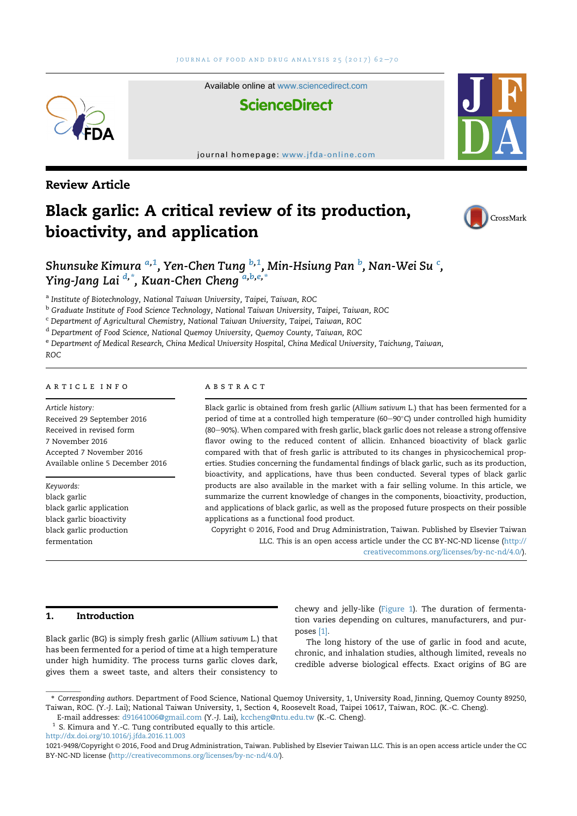Available online at www.sciencedirect.com



journal homepage: www.jfda-online.com

# Review Article

# Black garlic: A critical review of its production, bioactivity, and application



Shunsuke Kimura <sup>a,1</sup>, Yen-Chen Tung <sup>b,1</sup>, Min-Hsiung Pan <sup>b</sup>, Nan-Wei Su <sup>c</sup>, Ying-Jang Lai <sup>d,\*</sup>, Kuan-Chen Cheng <sup>a,b,e,\*</sup>

a Institute of Biotechnology, National Taiwan University, Taipei, Taiwan, ROC

<sup>b</sup> Graduate Institute of Food Science Technology, National Taiwan University, Taipei, Taiwan, ROC

<sup>c</sup> Department of Agricultural Chemistry, National Taiwan University, Taipei, Taiwan, ROC

<sup>d</sup> Department of Food Science, National Quemoy University, Quemoy County, Taiwan, ROC

<sup>e</sup> Department of Medical Research, China Medical University Hospital, China Medical University, Taichung, Taiwan, ROC

# article info

Article history: Received 29 September 2016 Received in revised form 7 November 2016 Accepted 7 November 2016 Available online 5 December 2016

Keywords: black garlic black garlic application black garlic bioactivity black garlic production fermentation

# **ABSTRACT**

Black garlic is obtained from fresh garlic (Allium sativum L.) that has been fermented for a period of time at a controlled high temperature (60–90°C) under controlled high humidity (80–90%). When compared with fresh garlic, black garlic does not release a strong offensive flavor owing to the reduced content of allicin. Enhanced bioactivity of black garlic compared with that of fresh garlic is attributed to its changes in physicochemical properties. Studies concerning the fundamental findings of black garlic, such as its production, bioactivity, and applications, have thus been conducted. Several types of black garlic products are also available in the market with a fair selling volume. In this article, we summarize the current knowledge of changes in the components, bioactivity, production, and applications of black garlic, as well as the proposed future prospects on their possible applications as a functional food product.

Copyright © 2016, Food and Drug Administration, Taiwan. Published by Elsevier Taiwan LLC. This is an open access article under the CC BY-NC-ND license (http:// creativecommons.org/licenses/by-nc-nd/4.0/).

# 1. Introduction

Black garlic (BG) is simply fresh garlic (Allium sativum L.) that has been fermented for a period of time at a high temperature under high humidity. The process turns garlic cloves dark, gives them a sweet taste, and alters their consistency to

chewy and jelly-like (Figure 1). The duration of fermentation varies depending on cultures, manufacturers, and purposes [1].

The long history of the use of garlic in food and acute, chronic, and inhalation studies, although limited, reveals no credible adverse biological effects. Exact origins of BG are

<sup>\*</sup> Corresponding authors. Department of Food Science, National Quemoy University, 1, University Road, Jinning, Quemoy County 89250, Taiwan, ROC. (Y.-J. Lai); National Taiwan University, 1, Section 4, Roosevelt Road, Taipei 10617, Taiwan, ROC. (K.-C. Cheng).

E-mail addresses: d91641006@gmail.com (Y.-J. Lai), kccheng@ntu.edu.tw (K.-C. Cheng).

<sup>&</sup>lt;sup>1</sup> S. Kimura and Y.-C. Tung contributed equally to this article. http://dx.doi.org/10.1016/j.jfda.2016.11.003

<sup>1021-9498/</sup>Copyright © 2016, Food and Drug Administration, Taiwan. Published by Elsevier Taiwan LLC. This is an open access article under the CC BY-NC-ND license (http://creativecommons.org/licenses/by-nc-nd/4.0/).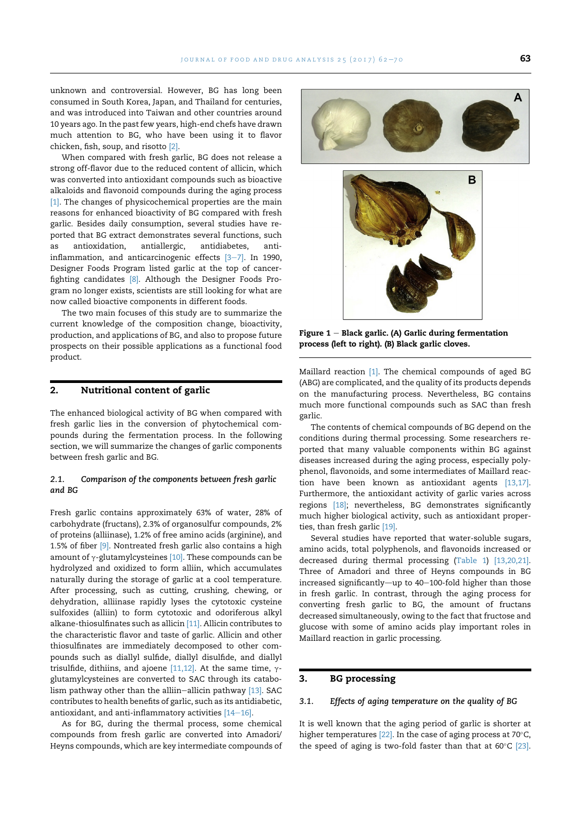unknown and controversial. However, BG has long been consumed in South Korea, Japan, and Thailand for centuries, and was introduced into Taiwan and other countries around 10 years ago. In the past few years, high-end chefs have drawn much attention to BG, who have been using it to flavor chicken, fish, soup, and risotto [2].

When compared with fresh garlic, BG does not release a strong off-flavor due to the reduced content of allicin, which was converted into antioxidant compounds such as bioactive alkaloids and flavonoid compounds during the aging process [1]. The changes of physicochemical properties are the main reasons for enhanced bioactivity of BG compared with fresh garlic. Besides daily consumption, several studies have reported that BG extract demonstrates several functions, such as antioxidation, antiallergic, antidiabetes, antiinflammation, and anticarcinogenic effects  $[3-7]$ . In 1990, Designer Foods Program listed garlic at the top of cancerfighting candidates [8]. Although the Designer Foods Program no longer exists, scientists are still looking for what are now called bioactive components in different foods.

The two main focuses of this study are to summarize the current knowledge of the composition change, bioactivity, production, and applications of BG, and also to propose future prospects on their possible applications as a functional food product.

# 2. Nutritional content of garlic

The enhanced biological activity of BG when compared with fresh garlic lies in the conversion of phytochemical compounds during the fermentation process. In the following section, we will summarize the changes of garlic components between fresh garlic and BG.

# 2.1. Comparison of the components between fresh garlic and BG

Fresh garlic contains approximately 63% of water, 28% of carbohydrate (fructans), 2.3% of organosulfur compounds, 2% of proteins (alliinase), 1.2% of free amino acids (arginine), and 1.5% of fiber [9]. Nontreated fresh garlic also contains a high amount of  $\gamma$ -glutamylcysteines [10]. These compounds can be hydrolyzed and oxidized to form alliin, which accumulates naturally during the storage of garlic at a cool temperature. After processing, such as cutting, crushing, chewing, or dehydration, alliinase rapidly lyses the cytotoxic cysteine sulfoxides (alliin) to form cytotoxic and odoriferous alkyl alkane-thiosulfinates such as allicin [11]. Allicin contributes to the characteristic flavor and taste of garlic. Allicin and other thiosulfinates are immediately decomposed to other compounds such as diallyl sulfide, diallyl disulfide, and diallyl trisulfide, dithiins, and ajoene [11,12]. At the same time,  $\gamma$ glutamylcysteines are converted to SAC through its catabolism pathway other than the alliin-allicin pathway  $[13]$ . SAC contributes to health benefits of garlic, such as its antidiabetic, antioxidant, and anti-inflammatory activities  $[14-16]$ .

As for BG, during the thermal process, some chemical compounds from fresh garlic are converted into Amadori/ Heyns compounds, which are key intermediate compounds of





Figure  $1$  – Black garlic. (A) Garlic during fermentation process (left to right). (B) Black garlic cloves.

Maillard reaction [1]. The chemical compounds of aged BG (ABG) are complicated, and the quality of its products depends on the manufacturing process. Nevertheless, BG contains much more functional compounds such as SAC than fresh garlic.

The contents of chemical compounds of BG depend on the conditions during thermal processing. Some researchers reported that many valuable components within BG against diseases increased during the aging process, especially polyphenol, flavonoids, and some intermediates of Maillard reaction have been known as antioxidant agents [13,17]. Furthermore, the antioxidant activity of garlic varies across regions [18]; nevertheless, BG demonstrates significantly much higher biological activity, such as antioxidant properties, than fresh garlic [19].

Several studies have reported that water-soluble sugars, amino acids, total polyphenols, and flavonoids increased or decreased during thermal processing (Table 1) [13,20,21]. Three of Amadori and three of Heyns compounds in BG  $increased$  significantly—up to 40–100-fold higher than those in fresh garlic. In contrast, through the aging process for converting fresh garlic to BG, the amount of fructans decreased simultaneously, owing to the fact that fructose and glucose with some of amino acids play important roles in Maillard reaction in garlic processing.

# 3. BG processing

### 3.1. Effects of aging temperature on the quality of BG

It is well known that the aging period of garlic is shorter at higher temperatures  $[22]$ . In the case of aging process at 70 $\degree$ C, the speed of aging is two-fold faster than that at  $60^{\circ}$ C [23].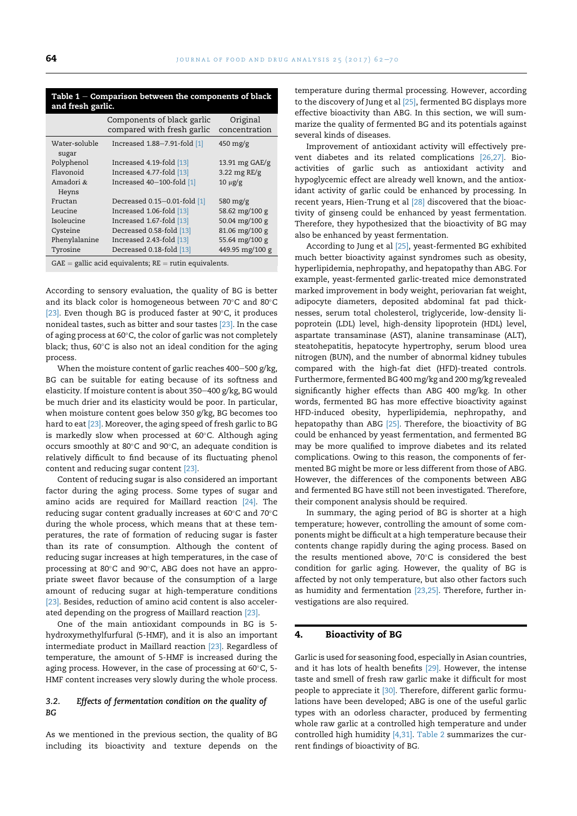| Table $1$ – Comparison between the components of black |  |  |
|--------------------------------------------------------|--|--|
| and fresh garlic.                                      |  |  |

|                                                            | Components of black garlic<br>compared with fresh garlic | Original<br>concentration        |  |
|------------------------------------------------------------|----------------------------------------------------------|----------------------------------|--|
| Water-soluble<br>sugar                                     | Increased 1.88-7.91-fold [1]                             | $450 \frac{\text{mg}}{\text{g}}$ |  |
| Polyphenol                                                 | Increased 4.19-fold [13]                                 | 13.91 mg GAE/g                   |  |
| Flavonoid                                                  | Increased 4.77-fold [13]                                 | 3.22 mg RE/g                     |  |
| Amadori &                                                  | Increased 40-100-fold [1]                                | $10 \mu g/g$                     |  |
| Heyns                                                      |                                                          |                                  |  |
| Fructan                                                    | Decreased 0.15-0.01-fold [1]                             | 580 mg/g                         |  |
| Leucine                                                    | Increased 1.06-fold [13]                                 | 58.62 mg/100 g                   |  |
| Isoleucine                                                 | Increased 1.67-fold [13]                                 | 50.04 mg/100 g                   |  |
| Cysteine                                                   | Decreased 0.58-fold [13]                                 | 81.06 mg/100 g                   |  |
| Phenylalanine                                              | Increased 2.43-fold [13]                                 | 55.64 mg/100 g                   |  |
| Tyrosine                                                   | Decreased 0.18-fold [13]                                 | 449.95 mg/100 g                  |  |
| $GAE =$ gallic acid equivalents; $RE =$ rutin equivalents. |                                                          |                                  |  |

According to sensory evaluation, the quality of BG is better and its black color is homogeneous between  $70^{\circ}$ C and  $80^{\circ}$ C [23]. Even though BG is produced faster at  $90^{\circ}$ C, it produces nonideal tastes, such as bitter and sour tastes [23]. In the case of aging process at  $60^{\circ}$ C, the color of garlic was not completely black; thus,  $60^{\circ}$ C is also not an ideal condition for the aging process.

When the moisture content of garlic reaches  $400-500$  g/kg, BG can be suitable for eating because of its softness and elasticity. If moisture content is about 350-400 g/kg, BG would be much drier and its elasticity would be poor. In particular, when moisture content goes below 350 g/kg, BG becomes too hard to eat [23]. Moreover, the aging speed of fresh garlic to BG is markedly slow when processed at  $60^{\circ}$ C. Although aging occurs smoothly at 80 $^{\circ}$ C and 90 $^{\circ}$ C, an adequate condition is relatively difficult to find because of its fluctuating phenol content and reducing sugar content [23].

Content of reducing sugar is also considered an important factor during the aging process. Some types of sugar and amino acids are required for Maillard reaction [24]. The reducing sugar content gradually increases at 60 $^{\circ}$ C and 70 $^{\circ}$ C during the whole process, which means that at these temperatures, the rate of formation of reducing sugar is faster than its rate of consumption. Although the content of reducing sugar increases at high temperatures, in the case of processing at  $80^{\circ}$ C and  $90^{\circ}$ C, ABG does not have an appropriate sweet flavor because of the consumption of a large amount of reducing sugar at high-temperature conditions [23]. Besides, reduction of amino acid content is also accelerated depending on the progress of Maillard reaction [23].

One of the main antioxidant compounds in BG is 5 hydroxymethylfurfural (5-HMF), and it is also an important intermediate product in Maillard reaction [23]. Regardless of temperature, the amount of 5-HMF is increased during the aging process. However, in the case of processing at  $60^{\circ}$ C, 5-HMF content increases very slowly during the whole process.

# 3.2. Effects of fermentation condition on the quality of BG

As we mentioned in the previous section, the quality of BG including its bioactivity and texture depends on the temperature during thermal processing. However, according to the discovery of Jung et al [25], fermented BG displays more effective bioactivity than ABG. In this section, we will summarize the quality of fermented BG and its potentials against several kinds of diseases.

Improvement of antioxidant activity will effectively prevent diabetes and its related complications [26,27]. Bioactivities of garlic such as antioxidant activity and hypoglycemic effect are already well known, and the antioxidant activity of garlic could be enhanced by processing. In recent years, Hien-Trung et al [28] discovered that the bioactivity of ginseng could be enhanced by yeast fermentation. Therefore, they hypothesized that the bioactivity of BG may also be enhanced by yeast fermentation.

According to Jung et al [25], yeast-fermented BG exhibited much better bioactivity against syndromes such as obesity, hyperlipidemia, nephropathy, and hepatopathy than ABG. For example, yeast-fermented garlic-treated mice demonstrated marked improvement in body weight, periovarian fat weight, adipocyte diameters, deposited abdominal fat pad thicknesses, serum total cholesterol, triglyceride, low-density lipoprotein (LDL) level, high-density lipoprotein (HDL) level, aspartate transaminase (AST), alanine transaminase (ALT), steatohepatitis, hepatocyte hypertrophy, serum blood urea nitrogen (BUN), and the number of abnormal kidney tubules compared with the high-fat diet (HFD)-treated controls. Furthermore, fermented BG 400 mg/kg and 200 mg/kg revealed significantly higher effects than ABG 400 mg/kg. In other words, fermented BG has more effective bioactivity against HFD-induced obesity, hyperlipidemia, nephropathy, and hepatopathy than ABG [25]. Therefore, the bioactivity of BG could be enhanced by yeast fermentation, and fermented BG may be more qualified to improve diabetes and its related complications. Owing to this reason, the components of fermented BG might be more or less different from those of ABG. However, the differences of the components between ABG and fermented BG have still not been investigated. Therefore, their component analysis should be required.

In summary, the aging period of BG is shorter at a high temperature; however, controlling the amount of some components might be difficult at a high temperature because their contents change rapidly during the aging process. Based on the results mentioned above,  $70^{\circ}$ C is considered the best condition for garlic aging. However, the quality of BG is affected by not only temperature, but also other factors such as humidity and fermentation [23,25]. Therefore, further investigations are also required.

### 4. Bioactivity of BG

Garlic is used for seasoning food, especially in Asian countries, and it has lots of health benefits [29]. However, the intense taste and smell of fresh raw garlic make it difficult for most people to appreciate it [30]. Therefore, different garlic formulations have been developed; ABG is one of the useful garlic types with an odorless character, produced by fermenting whole raw garlic at a controlled high temperature and under controlled high humidity [4,31]. Table 2 summarizes the current findings of bioactivity of BG.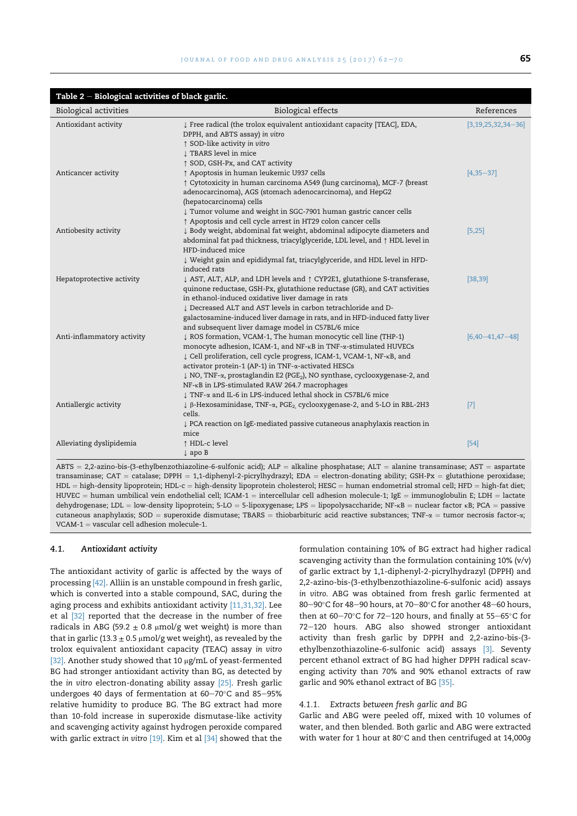| Table $2$ – Biological activities of black garlic. |                                                                                                                                                                                                                                                                                                                                                                                                                                                      |                            |  |  |
|----------------------------------------------------|------------------------------------------------------------------------------------------------------------------------------------------------------------------------------------------------------------------------------------------------------------------------------------------------------------------------------------------------------------------------------------------------------------------------------------------------------|----------------------------|--|--|
| <b>Biological activities</b>                       | <b>Biological effects</b>                                                                                                                                                                                                                                                                                                                                                                                                                            | References                 |  |  |
| Antioxidant activity                               | ↓ Free radical (the trolox equivalent antioxidant capacity [TEAC], EDA,<br>DPPH, and ABTS assay) in vitro<br>↑ SOD-like activity in vitro<br>I TBARS level in mice                                                                                                                                                                                                                                                                                   | $[3, 19, 25, 32, 34 - 36]$ |  |  |
| Anticancer activity                                | ↑ SOD, GSH-Px, and CAT activity<br>↑ Apoptosis in human leukemic U937 cells<br>↑ Cytotoxicity in human carcinoma A549 (lung carcinoma), MCF-7 (breast<br>adenocarcinoma), AGS (stomach adenocarcinoma), and HepG2<br>(hepatocarcinoma) cells<br>↓ Tumor volume and weight in SGC-7901 human gastric cancer cells                                                                                                                                     | $[4,35-37]$                |  |  |
| Antiobesity activity                               | ↑ Apoptosis and cell cycle arrest in HT29 colon cancer cells<br>↓ Body weight, abdominal fat weight, abdominal adipocyte diameters and<br>abdominal fat pad thickness, triacylglyceride, LDL level, and $\uparrow$ HDL level in<br>HFD-induced mice                                                                                                                                                                                                  | [5,25]                     |  |  |
| Hepatoprotective activity                          | Weight gain and epididymal fat, triacylglyceride, and HDL level in HFD-<br>induced rats<br>↓ AST, ALT, ALP, and LDH levels and ↑ CYP2E1, glutathione S-transferase,<br>quinone reductase, GSH-Px, glutathione reductase (GR), and CAT activities<br>in ethanol-induced oxidative liver damage in rats<br>. Decreased ALT and AST levels in carbon tetrachloride and D-<br>galactosamine-induced liver damage in rats, and in HFD-induced fatty liver | [38, 39]                   |  |  |
| Anti-inflammatory activity                         | and subsequent liver damage model in C57BL/6 mice<br>↓ ROS formation, VCAM-1, The human monocytic cell line (THP-1)<br>monocyte adhesion, ICAM-1, and NF-KB in TNF-a-stimulated HUVECs<br>↓ Cell proliferation, cell cycle progress, ICAM-1, VCAM-1, NF-KB, and<br>activator protein-1 (AP-1) in TNF-a-activated HESCs<br>↓ NO, TNF-a, prostaglandin E2 (PGE2), NO synthase, cyclooxygenase-2, and<br>NF-KB in LPS-stimulated RAW 264.7 macrophages  | $[6,40-41,47-48]$          |  |  |
| Antiallergic activity                              | ↓ TNF-α and IL-6 in LPS-induced lethal shock in C57BL/6 mice<br>↓ β-Hexosaminidase, TNF-α, PGE <sub>2</sub> cyclooxygenase-2, and 5-LO in RBL-2H3<br>cells.<br>↓ PCA reaction on IgE-mediated passive cutaneous anaphylaxis reaction in<br>mice                                                                                                                                                                                                      | $[7]$                      |  |  |
| Alleviating dyslipidemia                           | ↑ HDL-c level<br>$\downarrow$ apo B                                                                                                                                                                                                                                                                                                                                                                                                                  | $[54]$                     |  |  |

 $ABTS = 2,2-a$ zino-bis-(3-ethylbenzothiazoline-6-sulfonic acid);  $ALP =$  alkaline phosphatase;  $ALT =$  alanine transaminase;  $AST =$  aspartate transaminase; CAT = catalase; DPPH = 1,1-diphenyl-2-picrylhydrazyl; EDA = electron-donating ability; GSH-Px = glutathione peroxidase; HDL = high-density lipoprotein; HDL-c = high-density lipoprotein cholesterol; HESC = human endometrial stromal cell; HFD = high-fat diet;  $HUVEC =$  human umbilical vein endothelial cell; ICAM-1 = intercellular cell adhesion molecule-1; IgE = immunoglobulin E; LDH = lactate dehydrogenase; LDL = low-density lipoprotein; 5-LO = 5-lipoxygenase; LPS = lipopolysaccharide; NF- $\kappa$ B = nuclear factor  $\kappa$ B; PCA = passive cutaneous anaphylaxis; SOD = superoxide dismutase; TBARS = thiobarbituric acid reactive substances; TNF- $\alpha$  = tumor necrosis factor- $\alpha$ ;  $VCAM-1 =$  vascular cell adhesion molecule-1.

#### 4.1. Antioxidant activity

The antioxidant activity of garlic is affected by the ways of processing [42]. Alliin is an unstable compound in fresh garlic, which is converted into a stable compound, SAC, during the aging process and exhibits antioxidant activity [11,31,32]. Lee et al [32] reported that the decrease in the number of free radicals in ABG (59.2  $\pm$  0.8 µmol/g wet weight) is more than that in garlic (13.3  $\pm$  0.5 µmol/g wet weight), as revealed by the trolox equivalent antioxidant capacity (TEAC) assay in vitro [32]. Another study showed that 10  $\mu$ g/mL of yeast-fermented BG had stronger antioxidant activity than BG, as detected by the in vitro electron-donating ability assay [25]. Fresh garlic undergoes 40 days of fermentation at  $60-70^{\circ}$ C and  $85-95\%$ relative humidity to produce BG. The BG extract had more than 10-fold increase in superoxide dismutase-like activity and scavenging activity against hydrogen peroxide compared with garlic extract in vitro [19]. Kim et al [34] showed that the

formulation containing 10% of BG extract had higher radical scavenging activity than the formulation containing 10% (v/v) of garlic extract by 1,1-diphenyl-2-picrylhydrazyl (DPPH) and 2,2-azino-bis-(3-ethylbenzothiazoline-6-sulfonic acid) assays in vitro. ABG was obtained from fresh garlic fermented at 80-90 $\degree$ C for 48-90 hours, at 70-80 $\degree$ C for another 48-60 hours, then at 60-70°C for 72-120 hours, and finally at 55-65°C for 72-120 hours. ABG also showed stronger antioxidant activity than fresh garlic by DPPH and 2,2-azino-bis-(3 ethylbenzothiazoline-6-sulfonic acid) assays [3]. Seventy percent ethanol extract of BG had higher DPPH radical scavenging activity than 70% and 90% ethanol extracts of raw garlic and 90% ethanol extract of BG [35].

# 4.1.1. Extracts between fresh garlic and BG

Garlic and ABG were peeled off, mixed with 10 volumes of water, and then blended. Both garlic and ABG were extracted with water for 1 hour at 80 $^{\circ}$ C and then centrifuged at 14,000a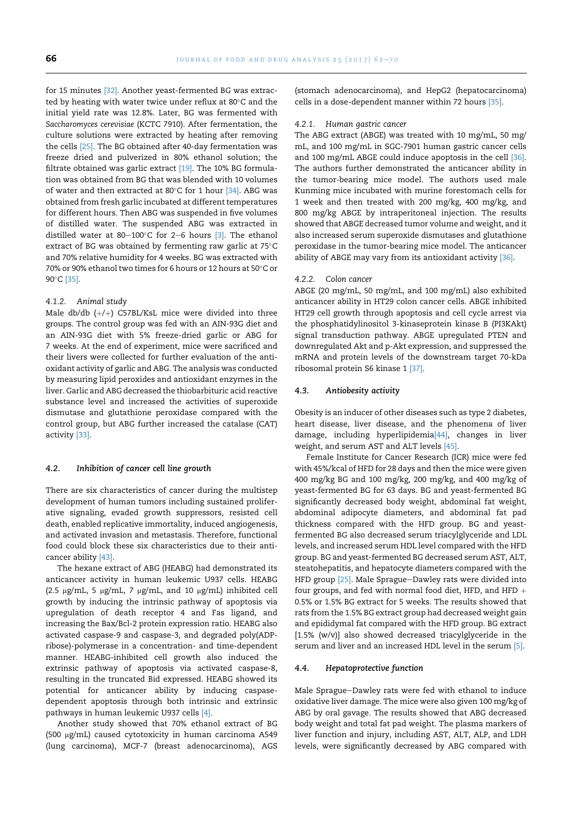for 15 minutes [32]. Another yeast-fermented BG was extracted by heating with water twice under reflux at  $80^{\circ}$ C and the initial yield rate was 12.8%. Later, BG was fermented with Saccharomyces cerevisiae (KCTC 7910). After fermentation, the culture solutions were extracted by heating after removing the cells [25]. The BG obtained after 40-day fermentation was freeze dried and pulverized in 80% ethanol solution; the filtrate obtained was garlic extract [19]. The 10% BG formulation was obtained from BG that was blended with 10 volumes of water and then extracted at 80 $^{\circ}$ C for 1 hour [34]. ABG was obtained from fresh garlic incubated at different temperatures for different hours. Then ABG was suspended in five volumes of distilled water. The suspended ABG was extracted in distilled water at 80-100°C for 2-6 hours  $[3]$ . The ethanol extract of BG was obtained by fermenting raw garlic at  $75^{\circ}$ C and 70% relative humidity for 4 weeks. BG was extracted with 70% or 90% ethanol two times for 6 hours or 12 hours at 50°C or 90°C [35].

# 4.1.2. Animal study

Male db/db  $(+/+)$  C57BL/KsL mice were divided into three groups. The control group was fed with an AIN-93G diet and an AIN-93G diet with 5% freeze-dried garlic or ABG for 7 weeks. At the end of experiment, mice were sacrificed and their livers were collected for further evaluation of the antioxidant activity of garlic and ABG. The analysis was conducted by measuring lipid peroxides and antioxidant enzymes in the liver. Garlic and ABG decreased the thiobarbituric acid reactive substance level and increased the activities of superoxide dismutase and glutathione peroxidase compared with the control group, but ABG further increased the catalase (CAT) activity [33].

#### 4.2. Inhibition of cancer cell line growth

There are six characteristics of cancer during the multistep development of human tumors including sustained proliferative signaling, evaded growth suppressors, resisted cell death, enabled replicative immortality, induced angiogenesis, and activated invasion and metastasis. Therefore, functional food could block these six characteristics due to their anticancer ability [43].

The hexane extract of ABG (HEABG) had demonstrated its anticancer activity in human leukemic U937 cells. HEABG (2.5  $\mu$ g/mL, 5  $\mu$ g/mL, 7  $\mu$ g/mL, and 10  $\mu$ g/mL) inhibited cell growth by inducing the intrinsic pathway of apoptosis via upregulation of death receptor 4 and Fas ligand, and increasing the Bax/Bcl-2 protein expression ratio. HEABG also activated caspase-9 and caspase-3, and degraded poly(ADPribose)-polymerase in a concentration- and time-dependent manner. HEABG-inhibited cell growth also induced the extrinsic pathway of apoptosis via activated caspase-8, resulting in the truncated Bid expressed. HEABG showed its potential for anticancer ability by inducing caspasedependent apoptosis through both intrinsic and extrinsic pathways in human leukemic U937 cells [4].

Another study showed that 70% ethanol extract of BG (500 mg/mL) caused cytotoxicity in human carcinoma A549 (lung carcinoma), MCF-7 (breast adenocarcinoma), AGS (stomach adenocarcinoma), and HepG2 (hepatocarcinoma) cells in a dose-dependent manner within 72 hours [35].

#### 4.2.1. Human gastric cancer

The ABG extract (ABGE) was treated with 10 mg/mL, 50 mg/ mL, and 100 mg/mL in SGC-7901 human gastric cancer cells and 100 mg/mL ABGE could induce apoptosis in the cell [36]. The authors further demonstrated the anticancer ability in the tumor-bearing mice model. The authors used male Kunming mice incubated with murine forestomach cells for 1 week and then treated with 200 mg/kg, 400 mg/kg, and 800 mg/kg ABGE by intraperitoneal injection. The results showed that ABGE decreased tumor volume and weight, and it also increased serum superoxide dismutases and glutathione peroxidase in the tumor-bearing mice model. The anticancer ability of ABGE may vary from its antioxidant activity [36].

# 4.2.2. Colon cancer

ABGE (20 mg/mL, 50 mg/mL, and 100 mg/mL) also exhibited anticancer ability in HT29 colon cancer cells. ABGE inhibited HT29 cell growth through apoptosis and cell cycle arrest via the phosphatidylinositol 3-kinaseprotein kinase B (PI3KAkt) signal transduction pathway. ABGE upregulated PTEN and downregulated Akt and p-Akt expression, and suppressed the mRNA and protein levels of the downstream target 70-kDa ribosomal protein S6 kinase 1 [37].

# 4.3. Antiobesity activity

Obesity is an inducer of other diseases such as type 2 diabetes, heart disease, liver disease, and the phenomena of liver damage, including hyperlipidemia[44], changes in liver weight, and serum AST and ALT levels [45].

Female Institute for Cancer Research (ICR) mice were fed with 45%/kcal of HFD for 28 days and then the mice were given 400 mg/kg BG and 100 mg/kg, 200 mg/kg, and 400 mg/kg of yeast-fermented BG for 63 days. BG and yeast-fermented BG significantly decreased body weight, abdominal fat weight, abdominal adipocyte diameters, and abdominal fat pad thickness compared with the HFD group. BG and yeastfermented BG also decreased serum triacylglyceride and LDL levels, and increased serum HDL level compared with the HFD group. BG and yeast-fermented BG decreased serum AST, ALT, steatohepatitis, and hepatocyte diameters compared with the HFD group <a>[25]</a>. Male Sprague-Dawley rats were divided into four groups, and fed with normal food diet, HFD, and HFD  $+$ 0.5% or 1.5% BG extract for 5 weeks. The results showed that rats from the 1.5% BG extract group had decreased weight gain and epididymal fat compared with the HFD group. BG extract [1.5% (w/v)] also showed decreased triacylglyceride in the serum and liver and an increased HDL level in the serum [5].

#### 4.4. Hepatoprotective function

Male Sprague-Dawley rats were fed with ethanol to induce oxidative liver damage. The mice were also given 100 mg/kg of ABG by oral gavage. The results showed that ABG decreased body weight and total fat pad weight. The plasma markers of liver function and injury, including AST, ALT, ALP, and LDH levels, were significantly decreased by ABG compared with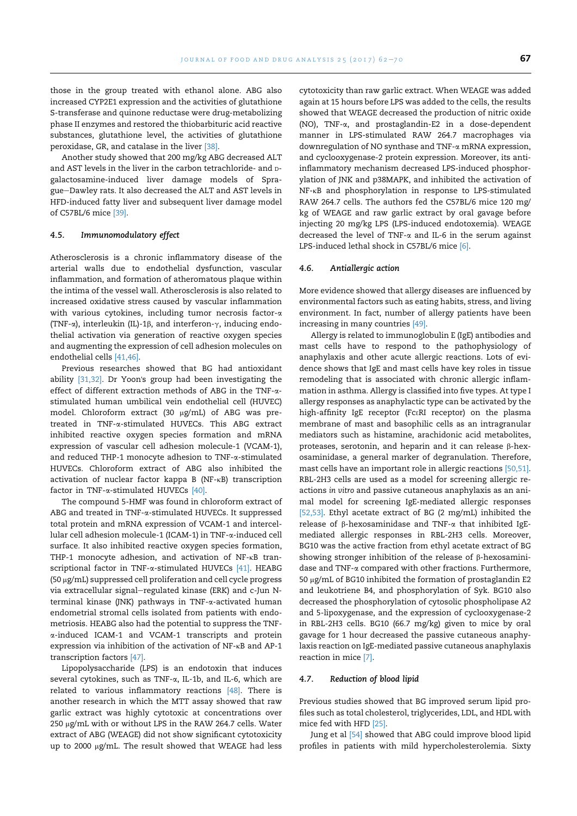those in the group treated with ethanol alone. ABG also increased CYP2E1 expression and the activities of glutathione S-transferase and quinone reductase were drug-metabolizing phase II enzymes and restored the thiobarbituric acid reactive substances, glutathione level, the activities of glutathione peroxidase, GR, and catalase in the liver [38].

Another study showed that 200 mg/kg ABG decreased ALT and AST levels in the liver in the carbon tetrachloride- and Dgalactosamine-induced liver damage models of Sprague-Dawley rats. It also decreased the ALT and AST levels in HFD-induced fatty liver and subsequent liver damage model of C57BL/6 mice [39].

# 4.5. Immunomodulatory effect

Atherosclerosis is a chronic inflammatory disease of the arterial walls due to endothelial dysfunction, vascular inflammation, and formation of atheromatous plaque within the intima of the vessel wall. Atherosclerosis is also related to increased oxidative stress caused by vascular inflammation with various cytokines, including tumor necrosis factor- $\alpha$ (TNF- $\alpha$ ), interleukin (IL)-1 $\beta$ , and interferon- $\gamma$ , inducing endothelial activation via generation of reactive oxygen species and augmenting the expression of cell adhesion molecules on endothelial cells [41,46].

Previous researches showed that BG had antioxidant ability [31,32]. Dr Yoon's group had been investigating the effect of different extraction methods of ABG in the TNF-astimulated human umbilical vein endothelial cell (HUVEC) model. Chloroform extract (30 µg/mL) of ABG was pretreated in TNF-a-stimulated HUVECs. This ABG extract inhibited reactive oxygen species formation and mRNA expression of vascular cell adhesion molecule-1 (VCAM-1), and reduced THP-1 monocyte adhesion to TNF-a-stimulated HUVECs. Chloroform extract of ABG also inhibited the activation of nuclear factor kappa B (NF-kB) transcription factor in TNF- $\alpha$ -stimulated HUVECs [40].

The compound 5-HMF was found in chloroform extract of ABG and treated in TNF- $\alpha$ -stimulated HUVECs. It suppressed total protein and mRNA expression of VCAM-1 and intercellular cell adhesion molecule-1 (ICAM-1) in TNF-a-induced cell surface. It also inhibited reactive oxygen species formation, THP-1 monocyte adhesion, and activation of NF-KB transcriptional factor in TNF- $\alpha$ -stimulated HUVECs [41]. HEABG (50 mg/mL) suppressed cell proliferation and cell cycle progress via extracellular signal–regulated kinase (ERK) and c-Jun Nterminal kinase (JNK) pathways in TNF- $\alpha$ -activated human endometrial stromal cells isolated from patients with endometriosis. HEABG also had the potential to suppress the TNFa-induced ICAM-1 and VCAM-1 transcripts and protein expression via inhibition of the activation of NF-kB and AP-1 transcription factors [47].

Lipopolysaccharide (LPS) is an endotoxin that induces several cytokines, such as TNF-a, IL-1b, and IL-6, which are related to various inflammatory reactions [48]. There is another research in which the MTT assay showed that raw garlic extract was highly cytotoxic at concentrations over 250 μg/mL with or without LPS in the RAW 264.7 cells. Water extract of ABG (WEAGE) did not show significant cytotoxicity up to 2000 µg/mL. The result showed that WEAGE had less cytotoxicity than raw garlic extract. When WEAGE was added again at 15 hours before LPS was added to the cells, the results showed that WEAGE decreased the production of nitric oxide (NO), TNF-a, and prostaglandin-E2 in a dose-dependent manner in LPS-stimulated RAW 264.7 macrophages via downregulation of NO synthase and TNF-a mRNA expression, and cyclooxygenase-2 protein expression. Moreover, its antiinflammatory mechanism decreased LPS-induced phosphorylation of JNK and p38MAPK, and inhibited the activation of NF-kB and phosphorylation in response to LPS-stimulated RAW 264.7 cells. The authors fed the C57BL/6 mice 120 mg/ kg of WEAGE and raw garlic extract by oral gavage before injecting 20 mg/kg LPS (LPS-induced endotoxemia). WEAGE decreased the level of TNF- $\alpha$  and IL-6 in the serum against LPS-induced lethal shock in C57BL/6 mice [6].

#### 4.6. Antiallergic action

More evidence showed that allergy diseases are influenced by environmental factors such as eating habits, stress, and living environment. In fact, number of allergy patients have been increasing in many countries [49].

Allergy is related to immunoglobulin E (IgE) antibodies and mast cells have to respond to the pathophysiology of anaphylaxis and other acute allergic reactions. Lots of evidence shows that IgE and mast cells have key roles in tissue remodeling that is associated with chronic allergic inflammation in asthma. Allergy is classified into five types. At type I allergy responses as anaphylactic type can be activated by the high-affinity IgE receptor (FcERI receptor) on the plasma membrane of mast and basophilic cells as an intragranular mediators such as histamine, arachidonic acid metabolites, proteases, serotonin, and heparin and it can release b-hexosaminidase, a general marker of degranulation. Therefore, mast cells have an important role in allergic reactions [50,51]. RBL-2H3 cells are used as a model for screening allergic reactions in vitro and passive cutaneous anaphylaxis as an animal model for screening IgE-mediated allergic responses [52,53]. Ethyl acetate extract of BG (2 mg/mL) inhibited the release of  $\beta$ -hexosaminidase and TNF- $\alpha$  that inhibited IgEmediated allergic responses in RBL-2H3 cells. Moreover, BG10 was the active fraction from ethyl acetate extract of BG showing stronger inhibition of the release of  $\beta$ -hexosaminidase and TNF-a compared with other fractions. Furthermore, 50  $\mu$ g/mL of BG10 inhibited the formation of prostaglandin E2 and leukotriene B4, and phosphorylation of Syk. BG10 also decreased the phosphorylation of cytosolic phospholipase A2 and 5-lipoxygenase, and the expression of cyclooxygenase-2 in RBL-2H3 cells. BG10 (66.7 mg/kg) given to mice by oral gavage for 1 hour decreased the passive cutaneous anaphylaxis reaction on IgE-mediated passive cutaneous anaphylaxis reaction in mice [7].

#### 4.7. Reduction of blood lipid

Previous studies showed that BG improved serum lipid profiles such as total cholesterol, triglycerides, LDL, and HDL with mice fed with HFD [25].

Jung et al [54] showed that ABG could improve blood lipid profiles in patients with mild hypercholesterolemia. Sixty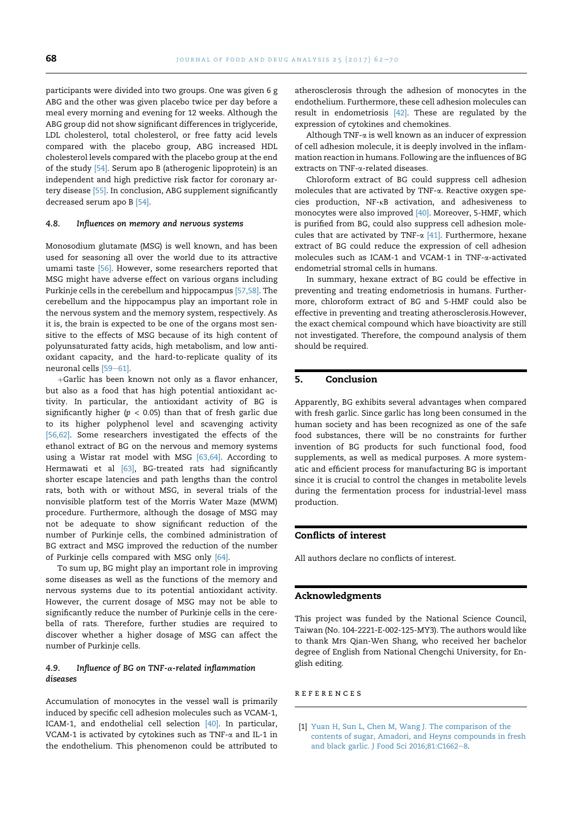participants were divided into two groups. One was given 6 g ABG and the other was given placebo twice per day before a meal every morning and evening for 12 weeks. Although the ABG group did not show significant differences in triglyceride, LDL cholesterol, total cholesterol, or free fatty acid levels compared with the placebo group, ABG increased HDL cholesterol levels compared with the placebo group at the end of the study [54]. Serum apo B (atherogenic lipoprotein) is an independent and high predictive risk factor for coronary artery disease [55]. In conclusion, ABG supplement significantly decreased serum apo B [54].

# 4.8. Influences on memory and nervous systems

Monosodium glutamate (MSG) is well known, and has been used for seasoning all over the world due to its attractive umami taste [56]. However, some researchers reported that MSG might have adverse effect on various organs including Purkinje cells in the cerebellum and hippocampus [57,58]. The cerebellum and the hippocampus play an important role in the nervous system and the memory system, respectively. As it is, the brain is expected to be one of the organs most sensitive to the effects of MSG because of its high content of polyunsaturated fatty acids, high metabolism, and low antioxidant capacity, and the hard-to-replicate quality of its neuronal cells  $[59-61]$ .

+Garlic has been known not only as a flavor enhancer, but also as a food that has high potential antioxidant activity. In particular, the antioxidant activity of BG is significantly higher ( $p < 0.05$ ) than that of fresh garlic due to its higher polyphenol level and scavenging activity [56,62]. Some researchers investigated the effects of the ethanol extract of BG on the nervous and memory systems using a Wistar rat model with MSG [63,64]. According to Hermawati et al [63], BG-treated rats had significantly shorter escape latencies and path lengths than the control rats, both with or without MSG, in several trials of the nonvisible platform test of the Morris Water Maze (MWM) procedure. Furthermore, although the dosage of MSG may not be adequate to show significant reduction of the number of Purkinje cells, the combined administration of BG extract and MSG improved the reduction of the number of Purkinje cells compared with MSG only [64].

To sum up, BG might play an important role in improving some diseases as well as the functions of the memory and nervous systems due to its potential antioxidant activity. However, the current dosage of MSG may not be able to significantly reduce the number of Purkinje cells in the cerebella of rats. Therefore, further studies are required to discover whether a higher dosage of MSG can affect the number of Purkinje cells.

# 4.9. Influence of BG on TNF- $\alpha$ -related inflammation diseases

Accumulation of monocytes in the vessel wall is primarily induced by specific cell adhesion molecules such as VCAM-1, ICAM-1, and endothelial cell selection [40]. In particular, VCAM-1 is activated by cytokines such as TNF-a and IL-1 in the endothelium. This phenomenon could be attributed to atherosclerosis through the adhesion of monocytes in the endothelium. Furthermore, these cell adhesion molecules can result in endometriosis [42]. These are regulated by the expression of cytokines and chemokines.

Although TNF-a is well known as an inducer of expression of cell adhesion molecule, it is deeply involved in the inflammation reaction in humans. Following are the influences of BG extracts on TNF-a-related diseases.

Chloroform extract of BG could suppress cell adhesion molecules that are activated by TNF-a. Reactive oxygen species production, NF-kB activation, and adhesiveness to monocytes were also improved [40]. Moreover, 5-HMF, which is purified from BG, could also suppress cell adhesion molecules that are activated by TNF- $\alpha$  [41]. Furthermore, hexane extract of BG could reduce the expression of cell adhesion molecules such as ICAM-1 and VCAM-1 in TNF-a-activated endometrial stromal cells in humans.

In summary, hexane extract of BG could be effective in preventing and treating endometriosis in humans. Furthermore, chloroform extract of BG and 5-HMF could also be effective in preventing and treating atherosclerosis.However, the exact chemical compound which have bioactivity are still not investigated. Therefore, the compound analysis of them should be required.

# 5. Conclusion

Apparently, BG exhibits several advantages when compared with fresh garlic. Since garlic has long been consumed in the human society and has been recognized as one of the safe food substances, there will be no constraints for further invention of BG products for such functional food, food supplements, as well as medical purposes. A more systematic and efficient process for manufacturing BG is important since it is crucial to control the changes in metabolite levels during the fermentation process for industrial-level mass production.

# Conflicts of interest

All authors declare no conflicts of interest.

#### Acknowledgments

This project was funded by the National Science Council, Taiwan (No. 104-2221-E-002-125-MY3). The authors would like to thank Mrs Qian-Wen Shang, who received her bachelor degree of English from National Chengchi University, for English editing.

references

<sup>[1]</sup> Yuan H, Sun L, Chen M, Wang J. The comparison of the contents of sugar, Amadori, and Heyns compounds in fresh and black garlic. J Food Sci  $2016;81:CI662-8$ .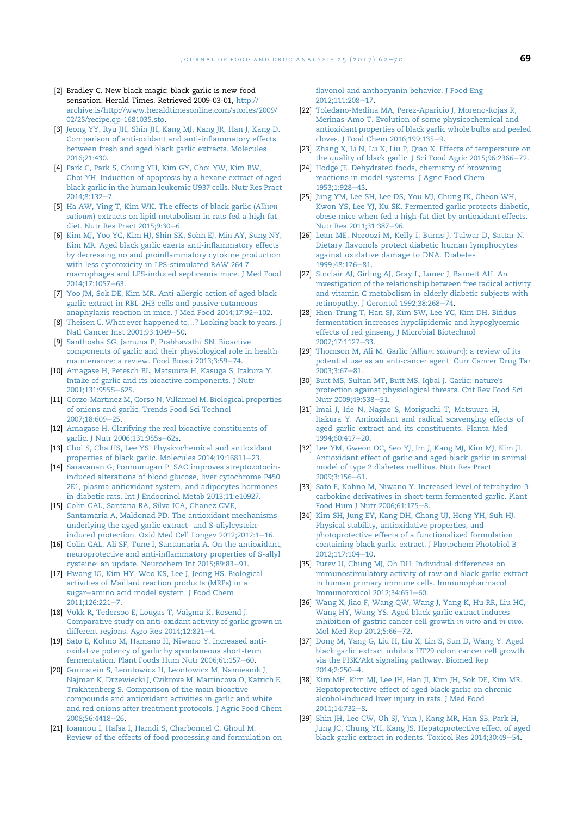- [2] Bradley C. New black magic: black garlic is new food sensation. Herald Times. Retrieved 2009-03-01, http:// archive.is/http://www.heraldtimesonline.com/stories/2009/ 02/25/recipe.qp-1681035.sto.
- [3] Jeong YY, Ryu JH, Shin JH, Kang MJ, Kang JR, Han J, Kang D. Comparison of anti-oxidant and anti-inflammatory effects between fresh and aged black garlic extracts. Molecules 2016;21:430.
- [4] Park C, Park S, Chung YH, Kim GY, Choi YW, Kim BW, Choi YH. Induction of apoptosis by a hexane extract of aged black garlic in the human leukemic U937 cells. Nutr Res Pract  $2014:8:132 - 7$ .
- [5] Ha AW, Ying T, Kim WK. The effects of black garlic (Allium sativum) extracts on lipid metabolism in rats fed a high fat diet. Nutr Res Pract 2015;9:30-6.
- [6] Kim MJ, Yoo YC, Kim HJ, Shin SK, Sohn EJ, Min AY, Sung NY, Kim MR. Aged black garlic exerts anti-inflammatory effects by decreasing no and proinflammatory cytokine production with less cytotoxicity in LPS-stimulated RAW 264.7 macrophages and LPS-induced septicemia mice. J Med Food  $2014:17:1057-63$
- [7] Yoo JM, Sok DE, Kim MR. Anti-allergic action of aged black garlic extract in RBL-2H3 cells and passive cutaneous anaphylaxis reaction in mice. J Med Food 2014;17:92-102.
- [8] Theisen C. What ever happened to...? Looking back to years. J Natl Cancer Inst 2001;93:1049-50.
- [9] Santhosha SG, Jamuna P, Prabhavathi SN. Bioactive components of garlic and their physiological role in health maintenance: a review. Food Biosci 2013;3:59-74.
- [10] Amagase H, Petesch BL, Matsuura H, Kasuga S, Itakura Y. Intake of garlic and its bioactive components. J Nutr  $2001:131:9555 - 625$
- [11] Corzo-Martinez M, Corso N, Villamiel M. Biological properties of onions and garlic. Trends Food Sci Technol 2007;18:609-25.
- [12] Amagase H. Clarifying the real bioactive constituents of garlic. J Nutr 2006;131:955s-62s.
- [13] Choi S, Cha HS, Lee YS. Physicochemical and antioxidant properties of black garlic. Molecules 2014;19:16811-23.
- [14] Saravanan G, Ponmurugan P. SAC improves streptozotocininduced alterations of blood glucose, liver cytochrome P450 2E1, plasma antioxidant system, and adipocytes hormones in diabetic rats. Int J Endocrinol Metab 2013;11:e10927.
- [15] Colin GAL, Santana RA, Silva ICA, Chanez CME, Santamaria A, Maldonad PD. The antioxidant mechanisms underlying the aged garlic extract- and S-allylcysteininduced protection. Oxid Med Cell Longev 2012;2012:1-16.
- [16] Colin GAL, Ali SF, Tune I, Santamaria A. On the antioxidant, neuroprotective and anti-inflammatory properties of S-allyl cysteine: an update. Neurochem Int 2015;89:83-91.
- [17] Hwang IG, Kim HY, Woo KS, Lee J, Jeong HS. Biological activities of Maillard reaction products (MRPs) in a sugar-amino acid model system. J Food Chem  $2011:126:221 - 7$ .
- [18] Vokk R, Tedersoo E, Lougas T, Valgma K, Rosend J. Comparative study on anti-oxidant activity of garlic grown in different regions. Agro Res 2014;12:821-4.
- [19] Sato E, Kohno M, Hamano H, Niwano Y. Increased antioxidative potency of garlic by spontaneous short-term fermentation. Plant Foods Hum Nutr 2006;61:157-60.
- [20] Gorinstein S, Leontowicz H, Leontowicz M, Namiesnik J, Najman K, Drzewiecki J, Cvikrova M, Martincova O, Katrich E, Trakhtenberg S. Comparison of the main bioactive compounds and antioxidant activities in garlic and white and red onions after treatment protocols. J Agric Food Chem 2008;56:4418-26.
- [21] Ioannou I, Hafsa I, Hamdi S, Charbonnel C, Ghoul M. Review of the effects of food processing and formulation on

flavonol and anthocyanin behavior. J Food Eng 2012:111:208-17.

- [22] Toledano-Medina MA, Perez-Aparicio J, Moreno-Rojas R, Merinas-Amo T. Evolution of some physicochemical and antioxidant properties of black garlic whole bulbs and peeled cloves. J Food Chem 2016;199:135-9.
- [23] Zhang X, Li N, Lu X, Liu P, Qiao X. Effects of temperature on the quality of black garlic. J Sci Food Agric 2015;96:2366-72.
- [24] Hodge JE. Dehydrated foods, chemistry of browning reactions in model systems. J Agric Food Chem 1953;1:928-43.
- [25] Jung YM, Lee SH, Lee DS, You MJ, Chung IK, Cheon WH, Kwon YS, Lee YJ, Ku SK. Fermented garlic protects diabetic, obese mice when fed a high-fat diet by antioxidant effects. Nutr Res 2011;31:387-96.
- [26] Lean ME, Noroozi M, Kelly I, Burns J, Talwar D, Sattar N. Dietary flavonols protect diabetic human lymphocytes against oxidative damage to DNA. Diabetes 1999:48:176-81.
- [27] Sinclair AJ, Girling AJ, Gray L, Lunec J, Barnett AH. An investigation of the relationship between free radical activity and vitamin C metabolism in elderly diabetic subjects with retinopathy. J Gerontol 1992;38:268-74.
- [28] Hien-Trung T, Han SJ, Kim SW, Lee YC, Kim DH. Bifidus fermentation increases hypolipidemic and hypoglycemic effects of red ginseng. J Microbial Biotechnol 2007;17:1127-33.
- [29] Thomson M, Ali M. Garlic [Allium sativum]: a review of its potential use as an anti-cancer agent. Curr Cancer Drug Tar  $2003.3.67 - 81$
- [30] Butt MS, Sultan MT, Butt MS, Iqbal J. Garlic: nature's protection against physiological threats. Crit Rev Food Sci Nutr 2009;49:538-51.
- [31] Imai J, Ide N, Nagae S, Moriguchi T, Matsuura H, Itakura Y. Antioxidant and radical scavenging effects of aged garlic extract and its constituents. Planta Med  $1994;60:417-20.$
- [32] Lee YM, Gweon OC, Seo YJ, Im J, Kang MJ, Kim MJ, Kim JI. Antioxidant effect of garlic and aged black garlic in animal model of type 2 diabetes mellitus. Nutr Res Pract  $2009.3:156-61$
- [33] Sato E, Kohno M, Niwano Y. Increased level of tetrahydro-bcarbokine derivatives in short-term fermented garlic. Plant Food Hum J Nutr 2006;61:175-8.
- [34] Kim SH, Jung EY, Kang DH, Chang UJ, Hong YH, Suh HJ. Physical stability, antioxidative properties, and photoprotective effects of a functionalized formulation containing black garlic extract. J Photochem Photobiol B 2012;117:104-10.
- [35] Purev U, Chung MJ, Oh DH. Individual differences on immunostimulatory activity of raw and black garlic extract in human primary immune cells. Immunopharmacol Immunotoxicol 2012;34:651-60.
- [36] Wang X, Jiao F, Wang QW, Wang J, Yang K, Hu RR, Liu HC, Wang HY, Wang YS. Aged black garlic extract induces inhibition of gastric cancer cell growth in vitro and in vivo. Mol Med Rep 2012;5:66-72.
- [37] Dong M, Yang G, Liu H, Liu X, Lin S, Sun D, Wang Y. Aged black garlic extract inhibits HT29 colon cancer cell growth via the PI3K/Akt signaling pathway. Biomed Rep 2014:2:250-4.
- [38] Kim MH, Kim MJ, Lee JH, Han JI, Kim JH, Sok DE, Kim MR. Hepatoprotective effect of aged black garlic on chronic alcohol-induced liver injury in rats. J Med Food 2011:14:732-8.
- [39] Shin JH, Lee CW, Oh SJ, Yun J, Kang MR, Han SB, Park H, Jung JC, Chung YH, Kang JS. Hepatoprotective effect of aged black garlic extract in rodents. Toxicol Res 2014;30:49-54.